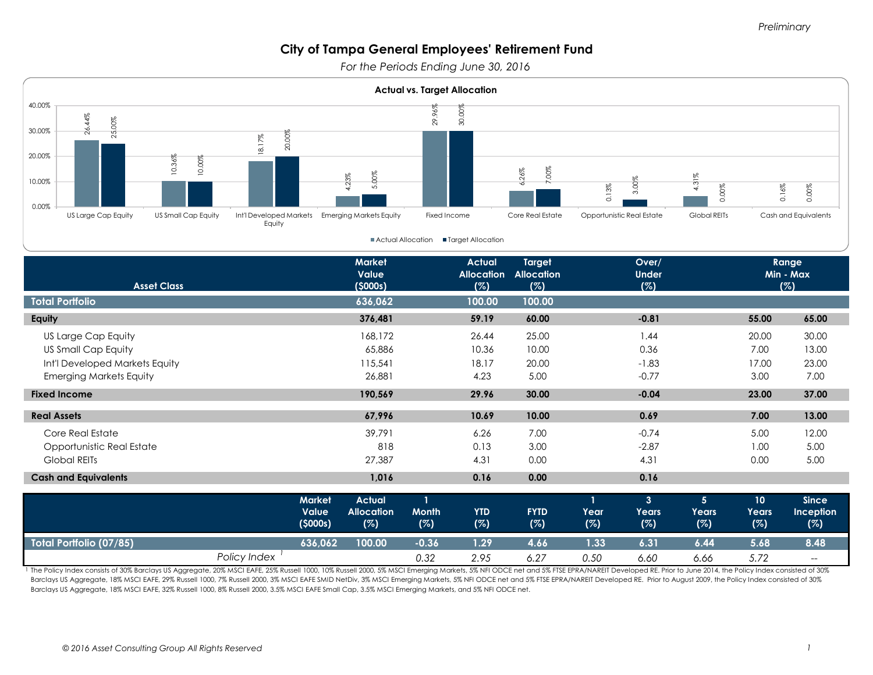*For the Periods Ending June 30, 2016* 



|                                | <b>Value</b><br>(5000s) | <b>Allocation</b><br>(%) | <b>Month</b><br>(%) | <b>YTD</b><br>(%) | <b>FYTD</b><br>(%) | Year<br>(%) | Years<br>(%) | Years'<br>(%) | Years<br>(%) | Inception<br>(%)                      |
|--------------------------------|-------------------------|--------------------------|---------------------|-------------------|--------------------|-------------|--------------|---------------|--------------|---------------------------------------|
| <b>Total Portfolio (07/85)</b> | 636.062                 | 100.00                   | -0.36               | $\sqrt{1.29}$     | 4.66               | 1.33        | 6.31         | 6.44          | 5.68         | 8.48                                  |
|                                | Policy Index            |                          | 0.32                | 2.95              | 6.27               | 0.50        | 6.60         | 6.66          | 5.72         | $\hspace{0.05cm}$ – $\hspace{0.05cm}$ |

1 The Policy Index consists of 30% Barclays US Aggregate, 20% MSCI EAFE, 25% Russell 1000, 10% Russell 2000, 5% MSCI Emerging Markets, 5% NFI ODCE net and 5% FTSE EPRA/NAREIT Developed RE. Prior to June 2014, the Policy In Barclays US Aggregate, 18% MSCI EAFE, 29% Russell 1000, 7% Russell 2000, 3% MSCI EAFE SMID NetDiv, 3% MSCI Emerging Markets, 5% NFI ODCE net and 5% FTSE EPRA/NAREIT Developed RE. Prior to August 2009, the Policy Index cons Barclays US Aggregate, 18% MSCI EAFE, 32% Russell 1000, 8% Russell 2000, 3.5% MSCI EAFE Small Cap, 3.5% MSCI Emerging Markets, and 5% NFI ODCE net.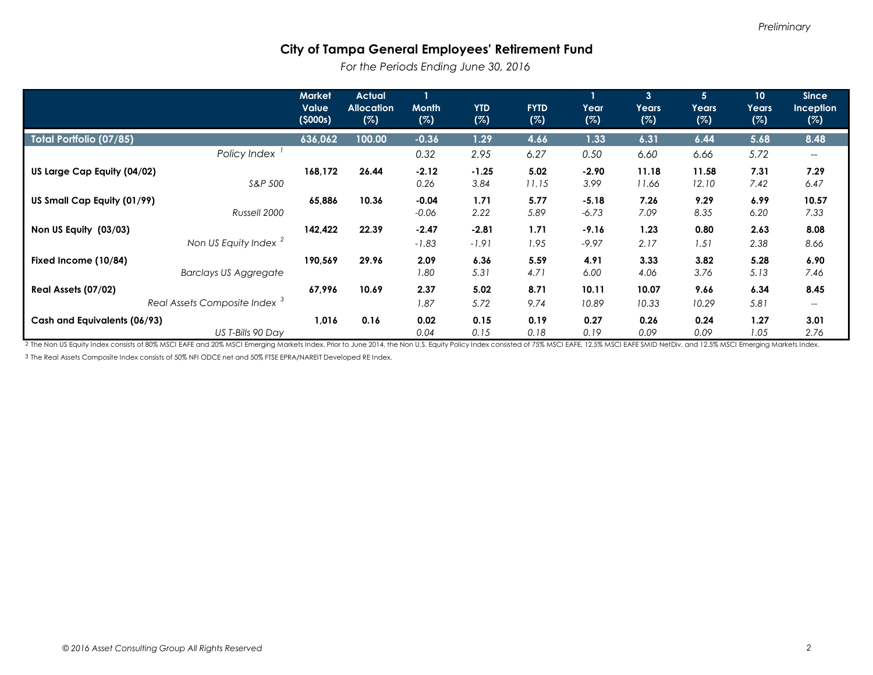*For the Periods Ending June 30, 2016* 

|                                                           | <b>Market</b><br><b>Value</b><br>(5000s) | <b>Actual</b><br><b>Allocation</b><br>(%) | <b>Month</b><br>(%) | <b>YTD</b><br>(%)  | <b>FYTD</b><br>(%) | Year<br>(%)        | 3 <sup>1</sup><br>Years<br>(%) | 5 <sup>1</sup><br>Years<br>(%) | 10 <sup>°</sup><br>Years<br>(%) | <b>Since</b><br><b>Inception</b><br>(%) |
|-----------------------------------------------------------|------------------------------------------|-------------------------------------------|---------------------|--------------------|--------------------|--------------------|--------------------------------|--------------------------------|---------------------------------|-----------------------------------------|
| Total Portfolio (07/85)                                   | 636,062                                  | 100.00                                    | $-0.36$             | 1.29               | 4.66               | 1.33               | 6.31                           | 6.44                           | 5.68                            | 8.48                                    |
| Policy Index                                              |                                          |                                           | 0.32                | 2.95               | 6.27               | 0.50               | 6.60                           | 6.66                           | 5.72                            |                                         |
| US Large Cap Equity (04/02)<br>S&P 500                    | 168,172                                  | 26.44                                     | $-2.12$<br>0.26     | $-1.25$<br>3.84    | 5.02<br>11.15      | $-2.90$<br>3.99    | 11.18<br>11.66                 | 11.58<br>12.10                 | 7.31<br>7.42                    | 7.29<br>6.47                            |
| US Small Cap Equity (01/99)<br>Russell 2000               | 65,886                                   | 10.36                                     | $-0.04$<br>$-0.06$  | 1.71<br>2.22       | 5.77<br>5.89       | $-5.18$<br>$-6.73$ | 7.26<br>7.09                   | 9.29<br>8.35                   | 6.99<br>6.20                    | 10.57<br>7.33                           |
| Non US Equity (03/03)<br>Non US Equity Index <sup>2</sup> | 142,422                                  | 22.39                                     | $-2.47$<br>$-1.83$  | $-2.81$<br>$-1.91$ | 1.71<br>1.95       | $-9.16$<br>$-9.97$ | 1.23<br>2.17                   | 0.80<br>1.51                   | 2.63<br>2.38                    | 8.08<br>8.66                            |
| Fixed Income (10/84)<br><b>Barclays US Aggregate</b>      | 190,569                                  | 29.96                                     | 2.09<br>1.80        | 6.36<br>5.31       | 5.59<br>4.71       | 4.91<br>6.00       | 3.33<br>4.06                   | 3.82<br>3.76                   | 5.28<br>5.13                    | 6.90<br>7.46                            |
| Real Assets (07/02)                                       | 67,996                                   | 10.69                                     | 2.37                | 5.02               | 8.71               | 10.11              | 10.07                          | 9.66                           | 6.34                            | 8.45                                    |
| Real Assets Composite Index <sup>3</sup>                  |                                          |                                           | 1.87                | 5.72               | 9.74               | 10.89              | 10.33                          | 10.29                          | 5.81                            | $\hspace{0.05cm}$                       |
| Cash and Equivalents (06/93)<br>US T-Bills 90 Day         | 1,016                                    | 0.16                                      | 0.02<br>0.04        | 0.15<br>0.15       | 0.19<br>0.18       | 0.27<br>0.19       | 0.26<br>0.09                   | 0.24<br>0.09                   | 1.27<br>1.05                    | 3.01<br>2.76                            |

<sup>2</sup> The Non US Equity Index consists of 80% MSCI EAFE and 20% MSCI Emerging Markets Index. Prior to June 2014, the Non U.S. Equity Policy Index consisted of 75% MSCI EAFE, 12.5% MSCI EAFE SMID NetDiv, and 12.5% MSCI Emergi

3 The Real Assets Composite Index consists of 50% NFI ODCE net and 50% FTSE EPRA/NAREIT Developed RE Index.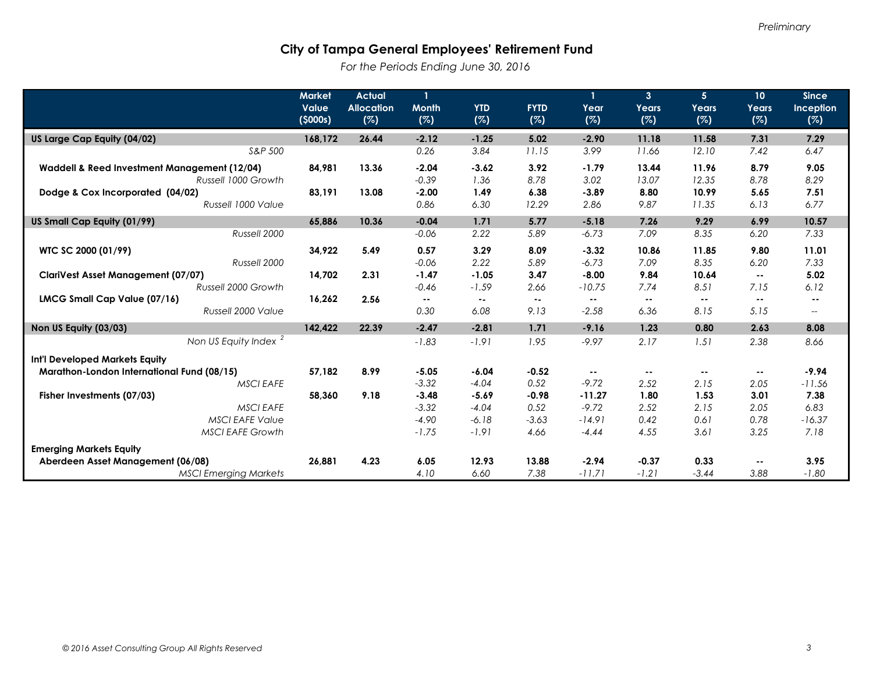*For the Periods Ending June 30, 2016* 

|                                                                     | <b>Market</b><br>Value<br>(5000s) | <b>Actual</b><br><b>Allocation</b><br>(%) | $\mathbf{1}$<br><b>Month</b><br>(%) | <b>YTD</b><br>(%)  | <b>FYTD</b><br>(%)       | 1<br>Year<br>(%)    | 3 <sup>1</sup><br>Years<br>(%) | 5 <sup>1</sup><br>Years<br>(%) | 10 <sup>°</sup><br>Years<br>(%) | <b>Since</b><br>Inception<br>(%) |
|---------------------------------------------------------------------|-----------------------------------|-------------------------------------------|-------------------------------------|--------------------|--------------------------|---------------------|--------------------------------|--------------------------------|---------------------------------|----------------------------------|
| US Large Cap Equity (04/02)                                         |                                   | 26.44<br>168,172                          | $-2.12$                             | $-1.25$            | 5.02                     | $-2.90$             | 11.18                          | 11.58                          | 7.31                            | 7.29                             |
|                                                                     | S&P 500                           |                                           | 0.26                                | 3.84               | 11.15                    | 3.99                | 11.66                          | 12.10                          | 7.42                            | 6.47                             |
| Waddell & Reed Investment Management (12/04)<br>Russell 1000 Growth |                                   | 84,981<br>13.36                           | $-2.04$<br>$-0.39$                  | $-3.62$<br>1.36    | 3.92<br>8.78             | $-1.79$<br>3.02     | 13.44<br>13.07                 | 11.96<br>12.35                 | 8.79<br>8.78                    | 9.05<br>8.29                     |
| Dodge & Cox Incorporated (04/02)                                    | 83,191                            | 13.08                                     | $-2.00$                             | 1.49               | 6.38                     | $-3.89$             | 8.80                           | 10.99                          | 5.65                            | 7.51                             |
|                                                                     | Russell 1000 Value                |                                           | 0.86                                | 6.30               | 12.29                    | 2.86                | 9.87                           | 11.35                          | 6.13                            | 6.77                             |
| US Small Cap Equity (01/99)                                         | 65,886                            | 10.36                                     | $-0.04$                             | 1.71               | 5.77                     | $-5.18$             | 7.26                           | 9.29                           | 6.99                            | 10.57                            |
|                                                                     | Russell 2000                      |                                           | $-0.06$                             | 2.22               | 5.89                     | $-6.73$             | 7.09                           | 8.35                           | 6.20                            | 7.33                             |
| WTC SC 2000 (01/99)                                                 | 34,922<br>Russell 2000            | 5.49                                      | 0.57<br>$-0.06$                     | 3.29<br>2.22       | 8.09<br>5.89             | $-3.32$<br>$-6.73$  | 10.86<br>7.09                  | 11.85<br>8.35                  | 9.80<br>6.20                    | 11.01<br>7.33                    |
| <b>ClariVest Asset Management (07/07)</b>                           | 14,702                            | 2.31                                      | $-1.47$                             | $-1.05$            | 3.47                     | $-8.00$             | 9.84                           | 10.64                          | $- -$                           | 5.02                             |
|                                                                     | Russell 2000 Growth               |                                           | $-0.46$                             | $-1.59$            | 2.66                     | $-10.75$            | 7.74                           | 8.51                           | 7.15                            | 6.12                             |
| LMCG Small Cap Value (07/16)                                        | 16,262                            | 2.56                                      | $\sim$ $-$                          | $\sim$ $-$         | $\overline{\phantom{a}}$ | $\sim$ $-$          | $\sim$ $-$                     | $- -$                          | $\sim$ $-$                      | $\sim$ $-$                       |
|                                                                     | Russell 2000 Value                |                                           | 0.30                                | 6.08               | 9.13                     | $-2.58$             | 6.36                           | 8.15                           | 5.15                            | $\hspace{0.05cm} \ldots$         |
| Non US Equity (03/03)                                               | 142.422                           | 22.39                                     | $-2.47$                             | $-2.81$            | 1.71                     | $-9.16$             | 1.23                           | 0.80                           | 2.63                            | 8.08                             |
| Non US Equity Index <sup>2</sup>                                    |                                   |                                           | $-1.83$                             | $-1.91$            | 1.95                     | $-9.97$             | 2.17                           | 1.51                           | 2.38                            | 8.66                             |
| <b>Int'l Developed Markets Equity</b>                               |                                   |                                           |                                     |                    |                          |                     |                                |                                |                                 |                                  |
| Marathon-London International Fund (08/15)                          | 57,182                            | 8.99                                      | $-5.05$                             | $-6.04$            | $-0.52$                  |                     | $- -$                          | $- -$                          | $\sim$ $\sim$                   | $-9.94$                          |
|                                                                     | <b>MSCI EAFE</b>                  |                                           | $-3.32$                             | $-4.04$            | 0.52<br>$-0.98$          | $-9.72$             | 2.52                           | 2.15                           | 2.05<br>3.01                    | $-11.56$                         |
| Fisher Investments (07/03)                                          | 58,360<br><b>MSCIEAFE</b>         | 9.18                                      | $-3.48$<br>$-3.32$                  | $-5.69$<br>$-4.04$ | 0.52                     | $-11.27$<br>$-9.72$ | 1.80<br>2.52                   | 1.53<br>2.15                   | 2.05                            | 7.38<br>6.83                     |
|                                                                     | <b>MSCI EAFE Value</b>            |                                           | $-4.90$                             | $-6.18$            | $-3.63$                  | $-14.91$            | 0.42                           | 0.61                           | 0.78                            | $-16.37$                         |
|                                                                     | <b>MSCI EAFE Growth</b>           |                                           | $-1.75$                             | $-1.91$            | 4.66                     | $-4.44$             | 4.55                           | 3.61                           | 3.25                            | 7.18                             |
| <b>Emerging Markets Equity</b>                                      |                                   |                                           |                                     |                    |                          |                     |                                |                                |                                 |                                  |
| Aberdeen Asset Management (06/08)                                   | 26.881                            | 4.23                                      | 6.05                                | 12.93              | 13.88                    | $-2.94$             | $-0.37$                        | 0.33                           | $\sim$ $\sim$                   | 3.95                             |
| <b>MSCI Emerging Markets</b>                                        |                                   |                                           | 4.10                                | 6.60               | 7.38                     | $-11.71$            | $-1.21$                        | $-3.44$                        | 3.88                            | $-1.80$                          |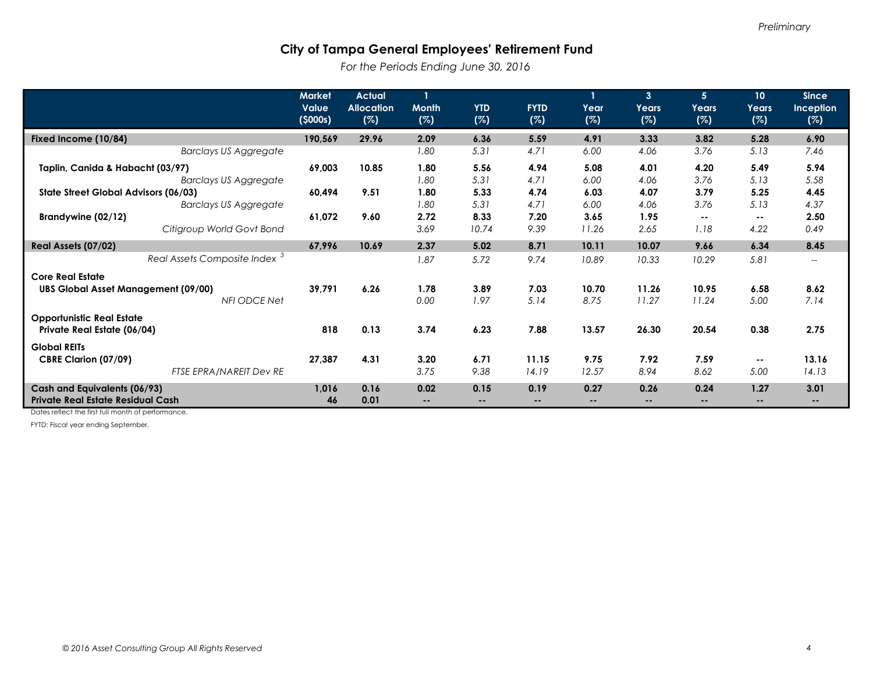*For the Periods Ending June 30, 2016*

|                                                                                       | <b>Market</b><br><b>Value</b><br>(5000s) | <b>Actual</b><br><b>Allocation</b><br>(%) | <b>Month</b><br>(%) | <b>YTD</b><br>(%)                    | <b>FYTD</b><br>(%)    | Year<br>(%)           | 3 <sup>2</sup><br>Years<br>(%) | 5 <sup>1</sup><br>Years<br>(%) | 10<br><b>Years</b><br>(%) | <b>Since</b><br>Inception<br>(%) |
|---------------------------------------------------------------------------------------|------------------------------------------|-------------------------------------------|---------------------|--------------------------------------|-----------------------|-----------------------|--------------------------------|--------------------------------|---------------------------|----------------------------------|
| Fixed Income (10/84)                                                                  | 190,569                                  | 29.96                                     | 2.09                | 6.36                                 | 5.59                  | 4.91                  | 3.33                           | 3.82                           | 5.28                      | 6.90                             |
| <b>Barclays US Aggregate</b>                                                          |                                          |                                           | 1.80                | 5.31                                 | 4.71                  | 6.00                  | 4.06                           | 3.76                           | 5.13                      | 7.46                             |
| Taplin, Canida & Habacht (03/97)<br><b>Barclays US Aggregate</b>                      | 69,003                                   | 10.85                                     | 1.80<br>1.80        | 5.56<br>5.31                         | 4.94<br>4.71          | 5.08<br>6.00          | 4.01<br>4.06                   | 4.20<br>3.76                   | 5.49<br>5.13              | 5.94<br>5.58                     |
| State Street Global Advisors (06/03)<br><b>Barclays US Aggregate</b>                  | 60,494                                   | 9.51                                      | 1.80<br>1.80        | 5.33<br>5.31                         | 4.74<br>4.71          | 6.03<br>6.00          | 4.07<br>4.06                   | 3.79<br>3.76                   | 5.25<br>5.13              | 4.45<br>4.37                     |
| Brandywine (02/12)<br>Citigroup World Govt Bond                                       | 61,072                                   | 9.60                                      | 2.72<br>3.69        | 8.33<br>10.74                        | 7.20<br>9.39          | 3.65<br>11.26         | 1.95<br>2.65                   | $- -$<br>1.18                  | $- -$<br>4.22             | 2.50<br>0.49                     |
| Real Assets (07/02)                                                                   | 67,996                                   | 10.69                                     | 2.37                | 5.02                                 | 8.71                  | 10.11                 | 10.07                          | 9.66                           | 6.34                      | 8.45                             |
| Real Assets Composite Index <sup>3</sup>                                              |                                          |                                           | 1.87                | 5.72                                 | 9.74                  | 10.89                 | 10.33                          | 10.29                          | 5.81                      | $\overline{\phantom{a}}$         |
| <b>Core Real Estate</b><br><b>UBS Global Asset Management (09/00)</b><br>NFI ODCE Net | 39,791                                   | 6.26                                      | 1.78<br>0.00        | 3.89<br>1.97                         | 7.03<br>5.14          | 10.70<br>8.75         | 11.26<br>11.27                 | 10.95<br>11.24                 | 6.58<br>5.00              | 8.62<br>7.14                     |
| <b>Opportunistic Real Estate</b><br>Private Real Estate (06/04)                       | 818                                      | 0.13                                      | 3.74                | 6.23                                 | 7.88                  | 13.57                 | 26.30                          | 20.54                          | 0.38                      | 2.75                             |
| <b>Global REITs</b><br>CBRE Clarion (07/09)<br>FTSE EPRA/NAREIT Dev RE                | 27,387                                   | 4.31                                      | 3.20<br>3.75        | 6.71<br>9.38                         | 11.15<br>14.19        | 9.75<br>12.57         | 7.92<br>8.94                   | 7.59<br>8.62                   | $- -$<br>5.00             | 13.16<br>14.13                   |
| Cash and Equivalents (06/93)<br><b>Private Real Estate Residual Cash</b>              | 1,016<br>46                              | 0.16<br>0.01                              | 0.02<br>--          | 0.15<br>$\qquad \qquad \blacksquare$ | 0.19<br>$\sim$ $\sim$ | 0.27<br>$\sim$ $\sim$ | 0.26<br>--                     | 0.24<br>--                     | 1.27<br>--                | 3.01<br>--                       |

Dates reflect the first full month of performance.

FYTD: Fiscal year ending September.